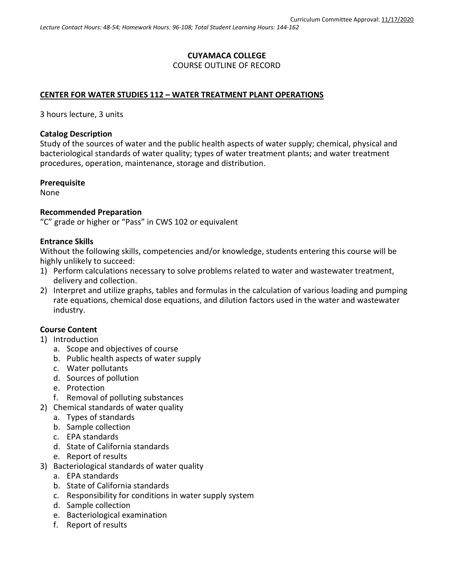## **CUYAMACA COLLEGE** COURSE OUTLINE OF RECORD

## **CENTER FOR WATER STUDIES 112 – WATER TREATMENT PLANT OPERATIONS**

3 hours lecture, 3 units

### **Catalog Description**

Study of the sources of water and the public health aspects of water supply; chemical, physical and bacteriological standards of water quality; types of water treatment plants; and water treatment procedures, operation, maintenance, storage and distribution.

### **Prerequisite**

None

### **Recommended Preparation**

"C" grade or higher or "Pass" in CWS 102 or equivalent

### **Entrance Skills**

Without the following skills, competencies and/or knowledge, students entering this course will be highly unlikely to succeed:

- 1) Perform calculations necessary to solve problems related to water and wastewater treatment, delivery and collection.
- 2) Interpret and utilize graphs, tables and formulas in the calculation of various loading and pumping rate equations, chemical dose equations, and dilution factors used in the water and wastewater industry.

## **Course Content**

- 1) Introduction
	- a. Scope and objectives of course
	- b. Public health aspects of water supply
	- c. Water pollutants
	- d. Sources of pollution
	- e. Protection
	- f. Removal of polluting substances
- 2) Chemical standards of water quality
	- a. Types of standards
	- b. Sample collection
	- c. EPA standards
	- d. State of California standards
	- e. Report of results
- 3) Bacteriological standards of water quality
	- a. EPA standards
	- b. State of California standards
	- c. Responsibility for conditions in water supply system
	- d. Sample collection
	- e. Bacteriological examination
	- f. Report of results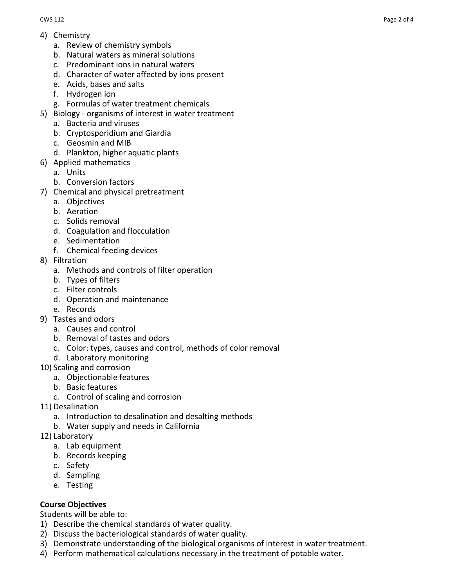- a. Review of chemistry symbols
- b. Natural waters as mineral solutions
- c. Predominant ions in natural waters
- d. Character of water affected by ions present
- e. Acids, bases and salts
- f. Hydrogen ion
- g. Formulas of water treatment chemicals
- 5) Biology organisms of interest in water treatment
	- a. Bacteria and viruses
	- b. Cryptosporidium and Giardia
	- c. Geosmin and MIB
	- d. Plankton, higher aquatic plants
- 6) Applied mathematics
	- a. Units
	- b. Conversion factors
- 7) Chemical and physical pretreatment
	- a. Objectives
	- b. Aeration
	- c. Solids removal
	- d. Coagulation and flocculation
	- e. Sedimentation
	- f. Chemical feeding devices
- 8) Filtration
	- a. Methods and controls of filter operation
	- b. Types of filters
	- c. Filter controls
	- d. Operation and maintenance
	- e. Records
- 9) Tastes and odors
	- a. Causes and control
	- b. Removal of tastes and odors
	- c. Color: types, causes and control, methods of color removal
	- d. Laboratory monitoring
- 10) Scaling and corrosion
	- a. Objectionable features
	- b. Basic features
	- c. Control of scaling and corrosion
- 11) Desalination
	- a. Introduction to desalination and desalting methods
	- b. Water supply and needs in California
- 12) Laboratory
	- a. Lab equipment
	- b. Records keeping
	- c. Safety
	- d. Sampling
	- e. Testing

# **Course Objectives**

Students will be able to:

- 1) Describe the chemical standards of water quality.
- 2) Discuss the bacteriological standards of water quality.
- 3) Demonstrate understanding of the biological organisms of interest in water treatment.
- 4) Perform mathematical calculations necessary in the treatment of potable water.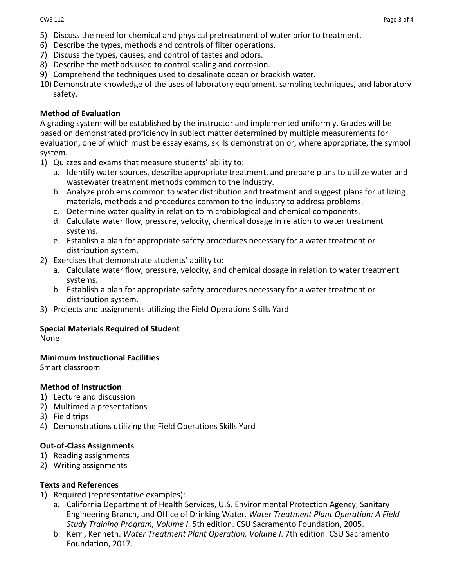- 5) Discuss the need for chemical and physical pretreatment of water prior to treatment.
- 6) Describe the types, methods and controls of filter operations.
- 7) Discuss the types, causes, and control of tastes and odors.
- 8) Describe the methods used to control scaling and corrosion.
- 9) Comprehend the techniques used to desalinate ocean or brackish water.
- 10) Demonstrate knowledge of the uses of laboratory equipment, sampling techniques, and laboratory safety.

## **Method of Evaluation**

A grading system will be established by the instructor and implemented uniformly. Grades will be based on demonstrated proficiency in subject matter determined by multiple measurements for evaluation, one of which must be essay exams, skills demonstration or, where appropriate, the symbol system.

- 1) Quizzes and exams that measure students' ability to:
	- a. Identify water sources, describe appropriate treatment, and prepare plans to utilize water and wastewater treatment methods common to the industry.
	- b. Analyze problems common to water distribution and treatment and suggest plans for utilizing materials, methods and procedures common to the industry to address problems.
	- c. Determine water quality in relation to microbiological and chemical components.
	- d. Calculate water flow, pressure, velocity, chemical dosage in relation to water treatment systems.
	- e. Establish a plan for appropriate safety procedures necessary for a water treatment or distribution system.
- 2) Exercises that demonstrate students' ability to:
	- a. Calculate water flow, pressure, velocity, and chemical dosage in relation to water treatment systems.
	- b. Establish a plan for appropriate safety procedures necessary for a water treatment or distribution system.
- 3) Projects and assignments utilizing the Field Operations Skills Yard

# **Special Materials Required of Student**

None

# **Minimum Instructional Facilities**

Smart classroom

# **Method of Instruction**

- 1) Lecture and discussion
- 2) Multimedia presentations
- 3) Field trips
- 4) Demonstrations utilizing the Field Operations Skills Yard

# **Out-of-Class Assignments**

- 1) Reading assignments
- 2) Writing assignments

## **Texts and References**

- 1) Required (representative examples):
	- a. California Department of Health Services, U.S. Environmental Protection Agency, Sanitary Engineering Branch, and Office of Drinking Water. *Water Treatment Plant Operation: A Field Study Training Program, Volume I*. 5th edition. CSU Sacramento Foundation, 2005.
	- b. Kerri, Kenneth. *Water Treatment Plant Operation, Volume I*. 7th edition. CSU Sacramento Foundation, 2017.